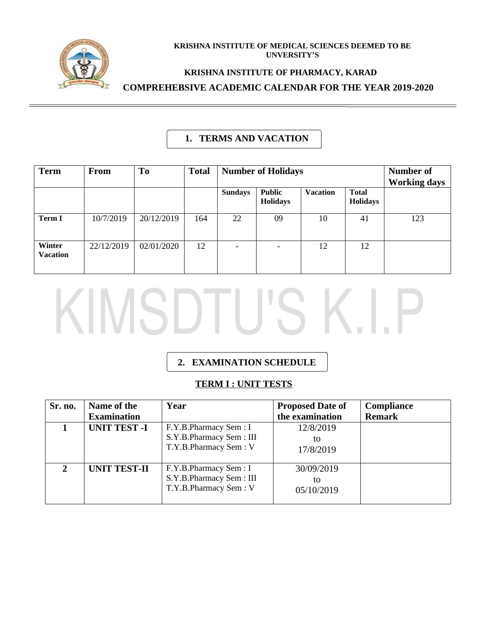

#### **KRISHNA INSTITUTE OF MEDICAL SCIENCES DEEMED TO BE UNVERSITY'S**

#### **KRISHNA INSTITUTE OF PHARMACY, KARAD**

**COMPREHEBSIVE ACADEMIC CALENDAR FOR THE YEAR 2019-2020**

#### **1. TERMS AND VACATION**

| <b>Term</b>               | <b>From</b> | To         | <b>Total</b> | <b>Number of Holidays</b> |                                  |                 | Number of<br><b>Working days</b> |     |
|---------------------------|-------------|------------|--------------|---------------------------|----------------------------------|-----------------|----------------------------------|-----|
|                           |             |            |              | <b>Sundays</b>            | <b>Public</b><br><b>Holidays</b> | <b>Vacation</b> | <b>Total</b><br><b>Holidays</b>  |     |
| <b>Term I</b>             | 10/7/2019   | 20/12/2019 | 164          | 22                        | 09                               | 10              | 41                               | 123 |
| Winter<br><b>Vacation</b> | 22/12/2019  | 02/01/2020 | 12           | $\overline{\phantom{a}}$  |                                  | 12              | 12                               |     |

# KIMSDTU'S K.I.I

# **2. EXAMINATION SCHEDULE**

#### **TERM I : UNIT TESTS**

| Sr. no.       | Name of the         | Year                                                                      | <b>Proposed Date of</b>        | Compliance    |
|---------------|---------------------|---------------------------------------------------------------------------|--------------------------------|---------------|
|               | <b>Examination</b>  |                                                                           | the examination                | <b>Remark</b> |
|               | <b>UNIT TEST-I</b>  | F.Y.B.Pharmacy Sem: I<br>S.Y.B.Pharmacy Sem: III<br>T.Y.B.Pharmacy Sem: V | 12/8/2019<br>tΟ<br>17/8/2019   |               |
| $\mathcal{P}$ | <b>UNIT TEST-II</b> | F.Y.B.Pharmacy Sem: I<br>S.Y.B.Pharmacy Sem: III<br>T.Y.B.Pharmacy Sem: V | 30/09/2019<br>tο<br>05/10/2019 |               |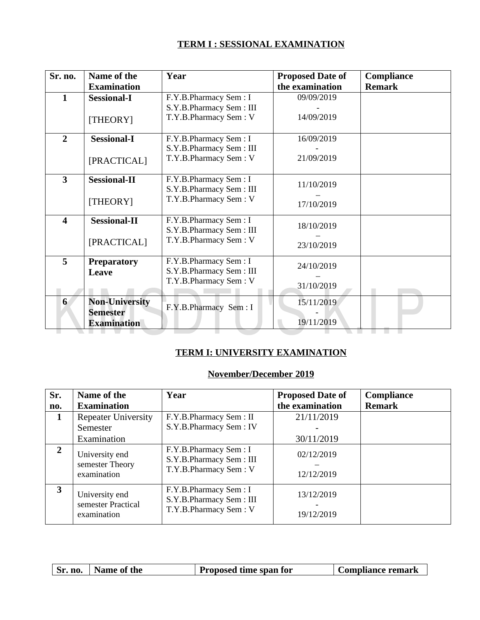#### **TERM I : SESSIONAL EXAMINATION**

| Sr. no.        | Name of the           | Year                    | <b>Proposed Date of</b> | Compliance    |
|----------------|-----------------------|-------------------------|-------------------------|---------------|
|                | <b>Examination</b>    |                         | the examination         | <b>Remark</b> |
| $\mathbf{1}$   | <b>Sessional-I</b>    | F.Y.B.Pharmacy Sem: I   | 09/09/2019              |               |
|                |                       | S.Y.B.Pharmacy Sem: III |                         |               |
|                | [THEORY]              | T.Y.B.Pharmacy Sem: V   | 14/09/2019              |               |
|                |                       |                         |                         |               |
| $\overline{2}$ | <b>Sessional-I</b>    | F.Y.B.Pharmacy Sem: I   | 16/09/2019              |               |
|                |                       | S.Y.B.Pharmacy Sem: III |                         |               |
|                | [PRACTICAL]           | T.Y.B.Pharmacy Sem: V   | 21/09/2019              |               |
|                |                       |                         |                         |               |
| 3              | <b>Sessional-II</b>   | F.Y.B.Pharmacy Sem: I   | 11/10/2019              |               |
|                |                       | S.Y.B.Pharmacy Sem: III |                         |               |
|                | [THEORY]              | T.Y.B.Pharmacy Sem: V   | 17/10/2019              |               |
|                |                       |                         |                         |               |
| 4              | <b>Sessional-II</b>   | F.Y.B.Pharmacy Sem: I   | 18/10/2019              |               |
|                |                       | S.Y.B.Pharmacy Sem: III |                         |               |
|                | [PRACTICAL]           | T.Y.B.Pharmacy Sem: V   | 23/10/2019              |               |
| 5              |                       | F.Y.B.Pharmacy Sem: I   |                         |               |
|                | <b>Preparatory</b>    | S.Y.B.Pharmacy Sem: III | 24/10/2019              |               |
|                | <b>Leave</b>          | T.Y.B.Pharmacy Sem: V   |                         |               |
|                |                       |                         | 31/10/2019              |               |
| 6              | <b>Non-University</b> |                         | 15/11/2019              |               |
|                | <b>Semester</b>       | F.Y.B.Pharmacy Sem: I   |                         |               |
|                | <b>Examination</b>    |                         | 19/11/2019              |               |

#### **TERM I: UNIVERSITY EXAMINATION**

### **November/December 2019**

| Sr.            | Name of the                                         | Year                                                                      | <b>Proposed Date of</b>  | Compliance    |
|----------------|-----------------------------------------------------|---------------------------------------------------------------------------|--------------------------|---------------|
| no.            | <b>Examination</b>                                  |                                                                           | the examination          | <b>Remark</b> |
| 1              | <b>Repeater University</b>                          | F.Y.B.Pharmacy Sem: II                                                    | 21/11/2019               |               |
|                | Semester                                            | S.Y.B.Pharmacy Sem: IV                                                    |                          |               |
|                | Examination                                         |                                                                           | 30/11/2019               |               |
| $\overline{2}$ | University end<br>semester Theory<br>examination    | F.Y.B.Pharmacy Sem: I<br>S.Y.B.Pharmacy Sem: III<br>T.Y.B.Pharmacy Sem: V | 02/12/2019<br>12/12/2019 |               |
| 3              | University end<br>semester Practical<br>examination | F.Y.B.Pharmacy Sem: I<br>S.Y.B.Pharmacy Sem: III<br>T.Y.B.Pharmacy Sem: V | 13/12/2019<br>19/12/2019 |               |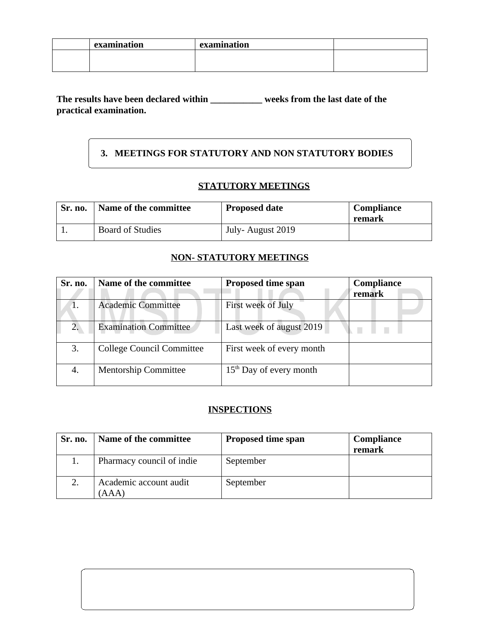| examination | examination |  |
|-------------|-------------|--|
|             |             |  |
|             |             |  |

#### **The results have been declared within \_\_\_\_\_\_\_\_\_\_\_ weeks from the last date of the practical examination.**

# **3. MEETINGS FOR STATUTORY AND NON STATUTORY BODIES**

# **STATUTORY MEETINGS**

| Sr. no. | Name of the committee   | <b>Proposed date</b> | <b>Compliance</b><br>remark |
|---------|-------------------------|----------------------|-----------------------------|
|         | <b>Board of Studies</b> | July-August 2019     |                             |

#### **NON- STATUTORY MEETINGS**

| Sr. no. | Name of the committee            | <b>Proposed time span</b> | Compliance<br>remark |
|---------|----------------------------------|---------------------------|----------------------|
|         | <b>Academic Committee</b>        | First week of July        |                      |
| 2.      | <b>Examination Committee</b>     | Last week of august 2019  |                      |
| 3.      | <b>College Council Committee</b> | First week of every month |                      |
| 4.      | <b>Mentorship Committee</b>      | $15th$ Day of every month |                      |

#### **INSPECTIONS**

| Sr. no. | Name of the committee           | <b>Proposed time span</b> | Compliance<br>remark |
|---------|---------------------------------|---------------------------|----------------------|
|         | Pharmacy council of indie       | September                 |                      |
|         | Academic account audit<br>(AAA) | September                 |                      |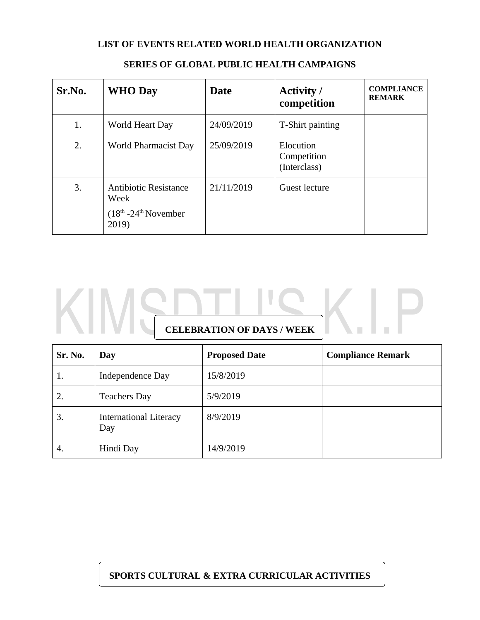#### **LIST OF EVENTS RELATED WORLD HEALTH ORGANIZATION**

| Sr.No. | <b>WHO Day</b>                                                           | <b>Date</b> | <b>Activity</b> /<br>competition         | <b>COMPLIANCE</b><br><b>REMARK</b> |
|--------|--------------------------------------------------------------------------|-------------|------------------------------------------|------------------------------------|
| 1.     | World Heart Day                                                          | 24/09/2019  | T-Shirt painting                         |                                    |
| 2.     | World Pharmacist Day                                                     | 25/09/2019  | Elocution<br>Competition<br>(Interclass) |                                    |
| 3.     | <b>Antibiotic Resistance</b><br>Week<br>$(18th - 24th$ November<br>2019) | 21/11/2019  | <b>Guest lecture</b>                     |                                    |

#### **SERIES OF GLOBAL PUBLIC HEALTH CAMPAIGNS**

# **CELEBRATION OF DAYS / WEEK**

| Sr. No. | Day                                  | <b>Proposed Date</b> | <b>Compliance Remark</b> |
|---------|--------------------------------------|----------------------|--------------------------|
| 1.      | Independence Day                     | 15/8/2019            |                          |
| 2.      | <b>Teachers Day</b>                  | 5/9/2019             |                          |
| 3.      | <b>International Literacy</b><br>Day | 8/9/2019             |                          |
| 4.      | Hindi Day                            | 14/9/2019            |                          |

#### **SPORTS CULTURAL & EXTRA CURRICULAR ACTIVITIES**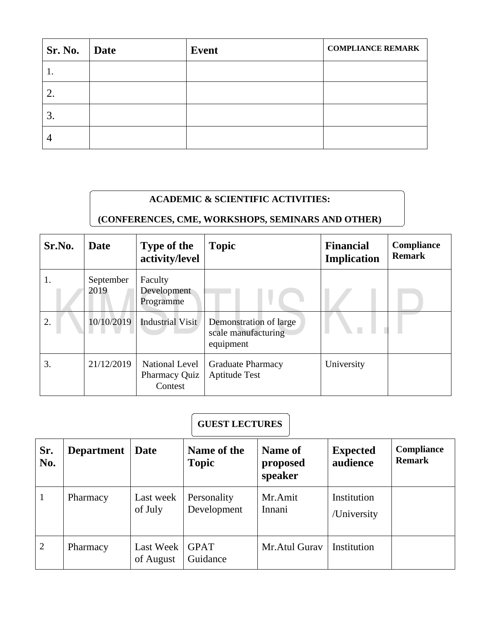| Sr. No.   Date | <b>Event</b> | <b>COMPLIANCE REMARK</b> |
|----------------|--------------|--------------------------|
|                |              |                          |
| 2.             |              |                          |
| З.             |              |                          |
|                |              |                          |

# **ACADEMIC & SCIENTIFIC ACTIVITIES:**

# **(CONFERENCES, CME, WORKSHOPS, SEMINARS AND OTHER)**

| Sr.No. | <b>Date</b>       | <b>Type of the</b><br>activity/level              | <b>Topic</b>                                               | <b>Financial</b><br><b>Implication</b> | Compliance<br><b>Remark</b> |
|--------|-------------------|---------------------------------------------------|------------------------------------------------------------|----------------------------------------|-----------------------------|
| 1.     | September<br>2019 | Faculty<br>Development<br>Programme               |                                                            |                                        |                             |
| 2.     | 10/10/2019        | Industrial Visit                                  | Demonstration of large<br>scale manufacturing<br>equipment |                                        |                             |
| 3.     | 21/12/2019        | National Level<br><b>Pharmacy Quiz</b><br>Contest | <b>Graduate Pharmacy</b><br><b>Aptitude Test</b>           | University                             |                             |

# **GUEST LECTURES**

| Sr.<br>No.   | <b>Department</b> | <b>Date</b>            | Name of the<br><b>Topic</b> | Name of<br>proposed<br>speaker | <b>Expected</b><br>audience | Compliance<br><b>Remark</b> |
|--------------|-------------------|------------------------|-----------------------------|--------------------------------|-----------------------------|-----------------------------|
| $\mathbf{1}$ | Pharmacy          | Last week<br>of July   | Personality<br>Development  | Mr.Amit<br>Innani              | Institution<br>/University  |                             |
| 2            | Pharmacy          | Last Week<br>of August | <b>GPAT</b><br>Guidance     | Mr.Atul Gurav                  | Institution                 |                             |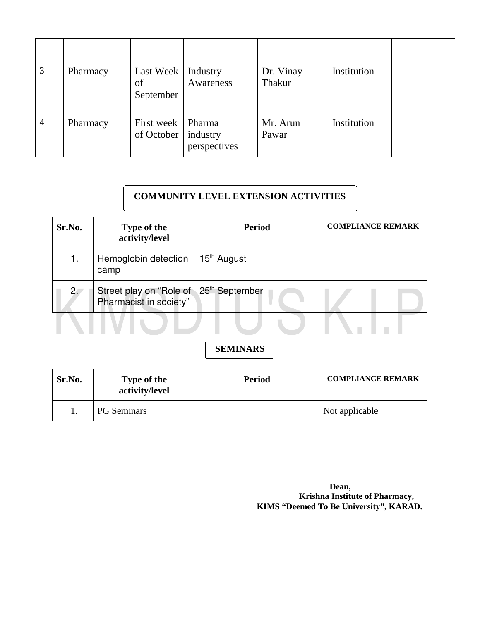| 3              | Pharmacy | Last Week   Industry<br>of<br>September | Awareness                | Dr. Vinay<br>Thakur | Institution |  |
|----------------|----------|-----------------------------------------|--------------------------|---------------------|-------------|--|
| $\overline{4}$ | Pharmacy | First week   Pharma<br>of October $ $   | industry<br>perspectives | Mr. Arun<br>Pawar   | Institution |  |

# **COMMUNITY LEVEL EXTENSION ACTIVITIES**

| Sr.No. | <b>Type of the</b><br>activity/level              | <b>Period</b>              | <b>COMPLIANCE REMARK</b> |
|--------|---------------------------------------------------|----------------------------|--------------------------|
|        | Hemoglobin detection<br>camp                      | 15 <sup>th</sup> August    |                          |
| 2.     | Street play on "Role of<br>Pharmacist in society" | 25 <sup>th</sup> September |                          |
|        |                                                   |                            |                          |

# **SEMINARS**

| Sr.No. | <b>Type of the</b><br>activity/level | <b>Period</b> | <b>COMPLIANCE REMARK</b> |
|--------|--------------------------------------|---------------|--------------------------|
|        | <b>PG</b> Seminars                   |               | Not applicable           |

*Dean,*  **Krishna Institute of Pharmacy, KIMS "Deemed To Be University", KARAD.**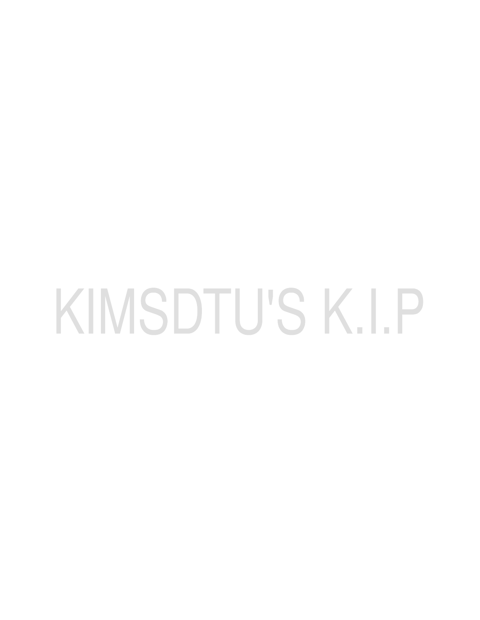# KIMSDTU'S K.I.P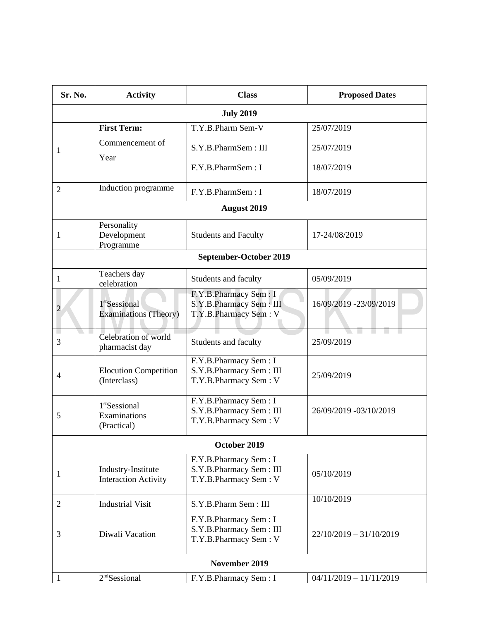| Sr. No.              | <b>Activity</b>                                           | <b>Class</b>                                                              | <b>Proposed Dates</b>     |  |  |
|----------------------|-----------------------------------------------------------|---------------------------------------------------------------------------|---------------------------|--|--|
|                      |                                                           | <b>July 2019</b>                                                          |                           |  |  |
|                      | <b>First Term:</b>                                        | T.Y.B.Pharm Sem-V                                                         | 25/07/2019                |  |  |
| 1                    | Commencement of<br>Year                                   | S.Y.B.PharmSem: III                                                       | 25/07/2019                |  |  |
|                      |                                                           | F.Y.B.PharmSem: I                                                         | 18/07/2019                |  |  |
| $\overline{2}$       | Induction programme                                       | F.Y.B.PharmSem: I                                                         | 18/07/2019                |  |  |
|                      |                                                           | <b>August 2019</b>                                                        |                           |  |  |
| $\mathbf{1}$         | Personality<br>Development<br>Programme                   | <b>Students and Faculty</b>                                               | 17-24/08/2019             |  |  |
|                      |                                                           | <b>September-October 2019</b>                                             |                           |  |  |
| $\mathbf{1}$         | Teachers day<br>celebration                               | Students and faculty                                                      | 05/09/2019                |  |  |
| 2                    | 1 <sup>st</sup> Sessional<br><b>Examinations (Theory)</b> | F.Y.B.Pharmacy Sem: I<br>S.Y.B.Pharmacy Sem: III<br>T.Y.B.Pharmacy Sem: V | 16/09/2019 -23/09/2019    |  |  |
| I.<br>3              | Celebration of world<br>pharmacist day                    | Students and faculty                                                      | 25/09/2019                |  |  |
| 4                    | <b>Elocution Competition</b><br>(Interclass)              | F.Y.B.Pharmacy Sem: I<br>S.Y.B.Pharmacy Sem: III<br>T.Y.B.Pharmacy Sem: V | 25/09/2019                |  |  |
| 5                    | 1 <sup>st</sup> Sessional<br>Examinations<br>(Practical)  | F.Y.B.Pharmacy Sem: I<br>S.Y.B.Pharmacy Sem: III<br>T.Y.B.Pharmacy Sem: V | 26/09/2019 -03/10/2019    |  |  |
| October 2019         |                                                           |                                                                           |                           |  |  |
| $\mathbf{1}$         | Industry-Institute<br><b>Interaction Activity</b>         | F.Y.B.Pharmacy Sem: I<br>S.Y.B.Pharmacy Sem: III<br>T.Y.B.Pharmacy Sem: V | 05/10/2019                |  |  |
| 2                    | <b>Industrial Visit</b>                                   | S.Y.B.Pharm Sem: III                                                      | 10/10/2019                |  |  |
| 3                    | Diwali Vacation                                           | F.Y.B.Pharmacy Sem: I<br>S.Y.B.Pharmacy Sem: III<br>T.Y.B.Pharmacy Sem: V | 22/10/2019 - 31/10/2019   |  |  |
| <b>November 2019</b> |                                                           |                                                                           |                           |  |  |
| $\mathbf{1}$         | 2 <sup>nd</sup> Sessional                                 | F.Y.B.Pharmacy Sem: I                                                     | $04/11/2019 - 11/11/2019$ |  |  |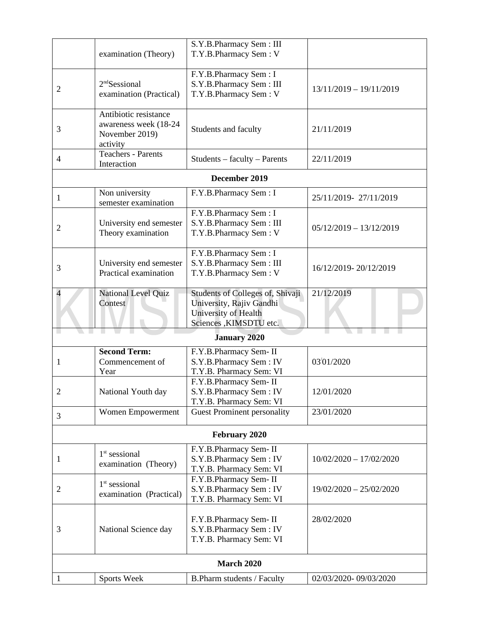|                          | examination (Theory)                       | S.Y.B.Pharmacy Sem: III<br>T.Y.B.Pharmacy Sem: V  |                           |  |  |
|--------------------------|--------------------------------------------|---------------------------------------------------|---------------------------|--|--|
|                          |                                            |                                                   |                           |  |  |
|                          | 2 <sup>nd</sup> Sessional                  | F.Y.B.Pharmacy Sem: I<br>S.Y.B.Pharmacy Sem: III  |                           |  |  |
| $\overline{2}$           | examination (Practical)                    | T.Y.B.Pharmacy Sem: V                             | 13/11/2019 - 19/11/2019   |  |  |
|                          | Antibiotic resistance                      |                                                   |                           |  |  |
| 3                        | awareness week (18-24<br>November 2019)    | Students and faculty                              | 21/11/2019                |  |  |
|                          | activity                                   |                                                   |                           |  |  |
| $\overline{4}$           | <b>Teachers - Parents</b><br>Interaction   | Students - faculty - Parents                      | 22/11/2019                |  |  |
|                          |                                            | <b>December 2019</b>                              |                           |  |  |
| $\mathbf{1}$             | Non university                             | F.Y.B.Pharmacy Sem: I                             | 25/11/2019-27/11/2019     |  |  |
|                          | semester examination                       |                                                   |                           |  |  |
|                          | University end semester                    | F.Y.B.Pharmacy Sem: I<br>S.Y.B.Pharmacy Sem: III  |                           |  |  |
| 2                        | Theory examination                         | T.Y.B.Pharmacy Sem: V                             | $05/12/2019 - 13/12/2019$ |  |  |
|                          |                                            | F.Y.B.Pharmacy Sem: I                             |                           |  |  |
| 3                        | University end semester                    | S.Y.B.Pharmacy Sem: III                           | 16/12/2019-20/12/2019     |  |  |
|                          | Practical examination                      | T.Y.B.Pharmacy Sem: V                             |                           |  |  |
| $\overline{\mathcal{A}}$ | National Level Quiz                        | Students of Colleges of, Shivaji                  | 21/12/2019                |  |  |
|                          | Contest                                    | University, Rajiv Gandhi<br>University of Health  |                           |  |  |
|                          |                                            | Sciences , KIMSDTU etc.                           |                           |  |  |
|                          |                                            | <b>January 2020</b>                               |                           |  |  |
|                          | <b>Second Term:</b>                        | F.Y.B.Pharmacy Sem-II                             |                           |  |  |
| 1                        | Commencement of<br>Year                    | S.Y.B.Pharmacy Sem: IV<br>T.Y.B. Pharmacy Sem: VI | 03/01/2020                |  |  |
|                          |                                            | F.Y.B.Pharmacy Sem-II                             |                           |  |  |
| 2                        | National Youth day                         | S.Y.B.Pharmacy Sem: IV                            | 12/01/2020                |  |  |
|                          |                                            | T.Y.B. Pharmacy Sem: VI                           |                           |  |  |
| 3                        | Women Empowerment                          | <b>Guest Prominent personality</b>                | 23/01/2020                |  |  |
| <b>February 2020</b>     |                                            |                                                   |                           |  |  |
|                          | $1st$ sessional                            | F.Y.B.Pharmacy Sem-II                             |                           |  |  |
| 1                        | examination (Theory)                       | S.Y.B.Pharmacy Sem: IV<br>T.Y.B. Pharmacy Sem: VI | $10/02/2020 - 17/02/2020$ |  |  |
|                          |                                            | F.Y.B.Pharmacy Sem-II                             |                           |  |  |
| 2                        | $1st$ sessional<br>examination (Practical) | S.Y.B.Pharmacy Sem: IV                            | 19/02/2020 - 25/02/2020   |  |  |
|                          |                                            | T.Y.B. Pharmacy Sem: VI                           |                           |  |  |
|                          |                                            | F.Y.B.Pharmacy Sem-II                             | 28/02/2020                |  |  |
| 3                        | National Science day                       | S.Y.B.Pharmacy Sem: IV                            |                           |  |  |
|                          |                                            | T.Y.B. Pharmacy Sem: VI                           |                           |  |  |
| <b>March 2020</b>        |                                            |                                                   |                           |  |  |
| $\mathbf{1}$             | Sports Week                                | B.Pharm students / Faculty                        | 02/03/2020-09/03/2020     |  |  |
|                          |                                            |                                                   |                           |  |  |